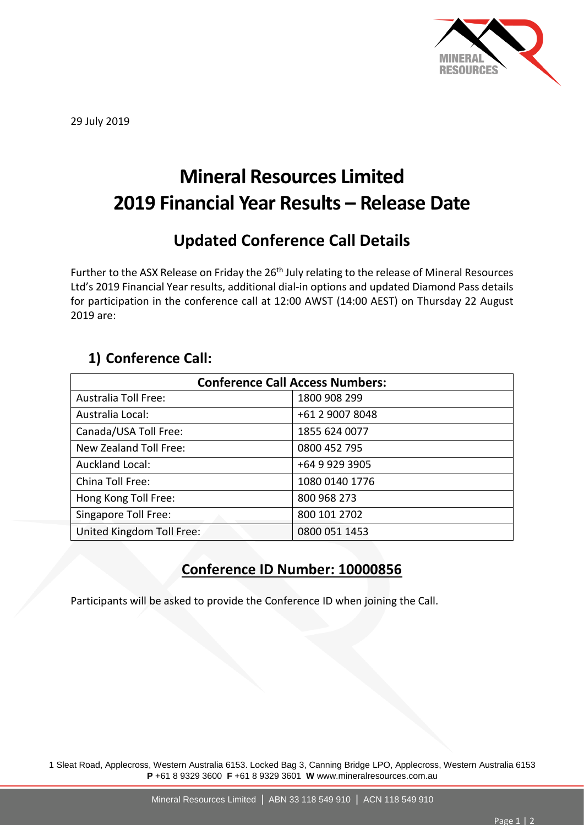

29 July 2019

# **Mineral Resources Limited 2019 Financial Year Results – Release Date**

# **Updated Conference Call Details**

Further to the ASX Release on Friday the 26<sup>th</sup> July relating to the release of Mineral Resources Ltd's 2019 Financial Year results, additional dial-in options and updated Diamond Pass details for participation in the conference call at 12:00 AWST (14:00 AEST) on Thursday 22 August 2019 are:

### **1) Conference Call:**

| <b>Conference Call Access Numbers:</b> |                 |
|----------------------------------------|-----------------|
| <b>Australia Toll Free:</b>            | 1800 908 299    |
| Australia Local:                       | +61 2 9007 8048 |
| Canada/USA Toll Free:                  | 1855 624 0077   |
| New Zealand Toll Free:                 | 0800 452 795    |
| <b>Auckland Local:</b>                 | +64 9 929 3905  |
| China Toll Free:                       | 1080 0140 1776  |
| Hong Kong Toll Free:                   | 800 968 273     |
| Singapore Toll Free:                   | 800 101 2702    |
| United Kingdom Toll Free:              | 0800 051 1453   |

### **Conference ID Number: 10000856**

Participants will be asked to provide the Conference ID when joining the Call.

1 Sleat Road, Applecross, Western Australia 6153. Locked Bag 3, Canning Bridge LPO, Applecross, Western Australia 6153 **P** +61 8 9329 3600 **F** +61 8 9329 3601 **W** www.mineralresources.com.au